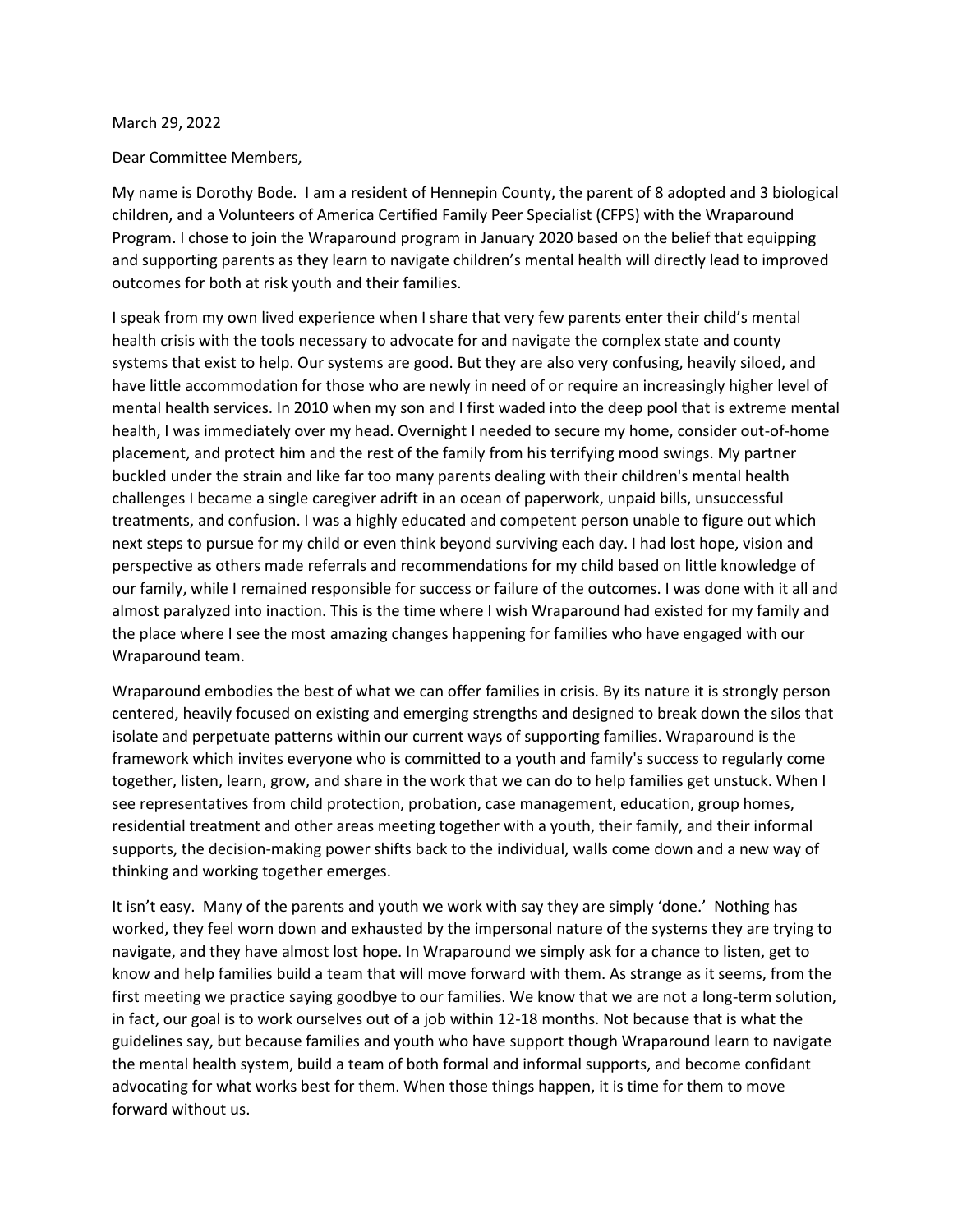## March 29, 2022

## Dear Committee Members,

My name is Dorothy Bode. I am a resident of Hennepin County, the parent of 8 adopted and 3 biological children, and a Volunteers of America Certified Family Peer Specialist (CFPS) with the Wraparound Program. I chose to join the Wraparound program in January 2020 based on the belief that equipping and supporting parents as they learn to navigate children's mental health will directly lead to improved outcomes for both at risk youth and their families.

I speak from my own lived experience when I share that very few parents enter their child's mental health crisis with the tools necessary to advocate for and navigate the complex state and county systems that exist to help. Our systems are good. But they are also very confusing, heavily siloed, and have little accommodation for those who are newly in need of or require an increasingly higher level of mental health services. In 2010 when my son and I first waded into the deep pool that is extreme mental health, I was immediately over my head. Overnight I needed to secure my home, consider out-of-home placement, and protect him and the rest of the family from his terrifying mood swings. My partner buckled under the strain and like far too many parents dealing with their children's mental health challenges I became a single caregiver adrift in an ocean of paperwork, unpaid bills, unsuccessful treatments, and confusion. I was a highly educated and competent person unable to figure out which next steps to pursue for my child or even think beyond surviving each day. I had lost hope, vision and perspective as others made referrals and recommendations for my child based on little knowledge of our family, while I remained responsible for success or failure of the outcomes. I was done with it all and almost paralyzed into inaction. This is the time where I wish Wraparound had existed for my family and the place where I see the most amazing changes happening for families who have engaged with our Wraparound team.

Wraparound embodies the best of what we can offer families in crisis. By its nature it is strongly person centered, heavily focused on existing and emerging strengths and designed to break down the silos that isolate and perpetuate patterns within our current ways of supporting families. Wraparound is the framework which invites everyone who is committed to a youth and family's success to regularly come together, listen, learn, grow, and share in the work that we can do to help families get unstuck. When I see representatives from child protection, probation, case management, education, group homes, residential treatment and other areas meeting together with a youth, their family, and their informal supports, the decision-making power shifts back to the individual, walls come down and a new way of thinking and working together emerges.

It isn't easy. Many of the parents and youth we work with say they are simply 'done.' Nothing has worked, they feel worn down and exhausted by the impersonal nature of the systems they are trying to navigate, and they have almost lost hope. In Wraparound we simply ask for a chance to listen, get to know and help families build a team that will move forward with them. As strange as it seems, from the first meeting we practice saying goodbye to our families. We know that we are not a long-term solution, in fact, our goal is to work ourselves out of a job within 12-18 months. Not because that is what the guidelines say, but because families and youth who have support though Wraparound learn to navigate the mental health system, build a team of both formal and informal supports, and become confidant advocating for what works best for them. When those things happen, it is time for them to move forward without us.